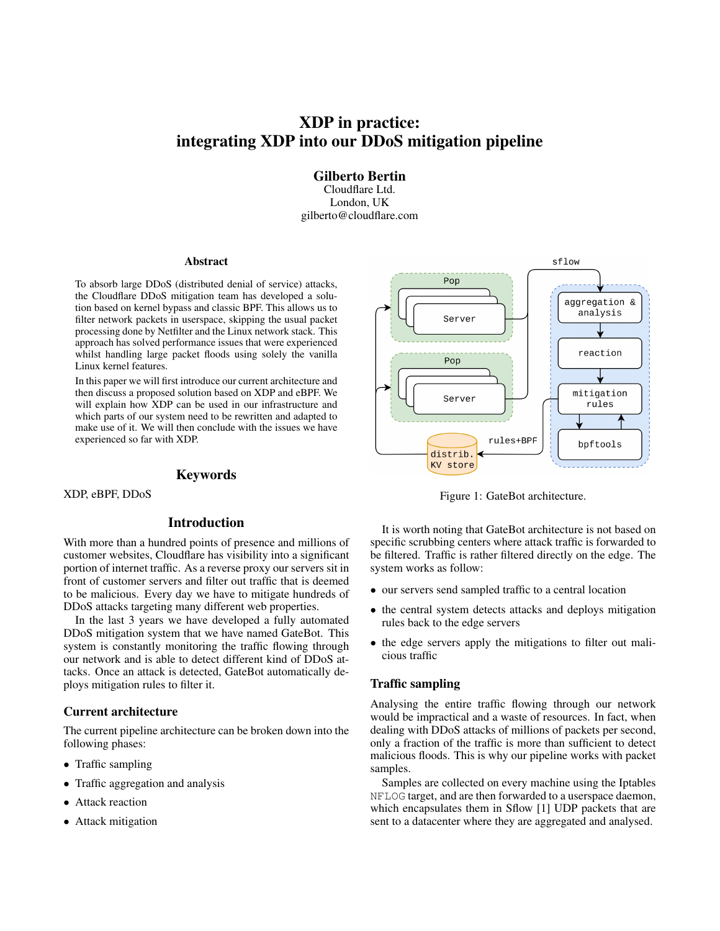# XDP in practice: integrating XDP into our DDoS mitigation pipeline

Gilberto Bertin Cloudflare Ltd. London, UK gilberto@cloudflare.com

#### Abstract

To absorb large DDoS (distributed denial of service) attacks, the Cloudflare DDoS mitigation team has developed a solution based on kernel bypass and classic BPF. This allows us to filter network packets in userspace, skipping the usual packet processing done by Netfilter and the Linux network stack. This approach has solved performance issues that were experienced whilst handling large packet floods using solely the vanilla Linux kernel features.

In this paper we will first introduce our current architecture and then discuss a proposed solution based on XDP and eBPF. We will explain how XDP can be used in our infrastructure and which parts of our system need to be rewritten and adapted to make use of it. We will then conclude with the issues we have experienced so far with XDP.

### Keywords

XDP, eBPF, DDoS

# Introduction

With more than a hundred points of presence and millions of customer websites, Cloudflare has visibility into a significant portion of internet traffic. As a reverse proxy our servers sit in front of customer servers and filter out traffic that is deemed to be malicious. Every day we have to mitigate hundreds of DDoS attacks targeting many different web properties.

In the last 3 years we have developed a fully automated DDoS mitigation system that we have named GateBot. This system is constantly monitoring the traffic flowing through our network and is able to detect different kind of DDoS attacks. Once an attack is detected, GateBot automatically deploys mitigation rules to filter it.

# Current architecture

The current pipeline architecture can be broken down into the following phases:

- Traffic sampling
- Traffic aggregation and analysis
- Attack reaction
- Attack mitigation



Figure 1: GateBot architecture.

It is worth noting that GateBot architecture is not based on specific scrubbing centers where attack traffic is forwarded to be filtered. Traffic is rather filtered directly on the edge. The system works as follow:

- our servers send sampled traffic to a central location
- the central system detects attacks and deploys mitigation rules back to the edge servers
- the edge servers apply the mitigations to filter out malicious traffic

#### Traffic sampling

Analysing the entire traffic flowing through our network would be impractical and a waste of resources. In fact, when dealing with DDoS attacks of millions of packets per second, only a fraction of the traffic is more than sufficient to detect malicious floods. This is why our pipeline works with packet samples.

Samples are collected on every machine using the Iptables NFLOG target, and are then forwarded to a userspace daemon, which encapsulates them in Sflow [1] UDP packets that are sent to a datacenter where they are aggregated and analysed.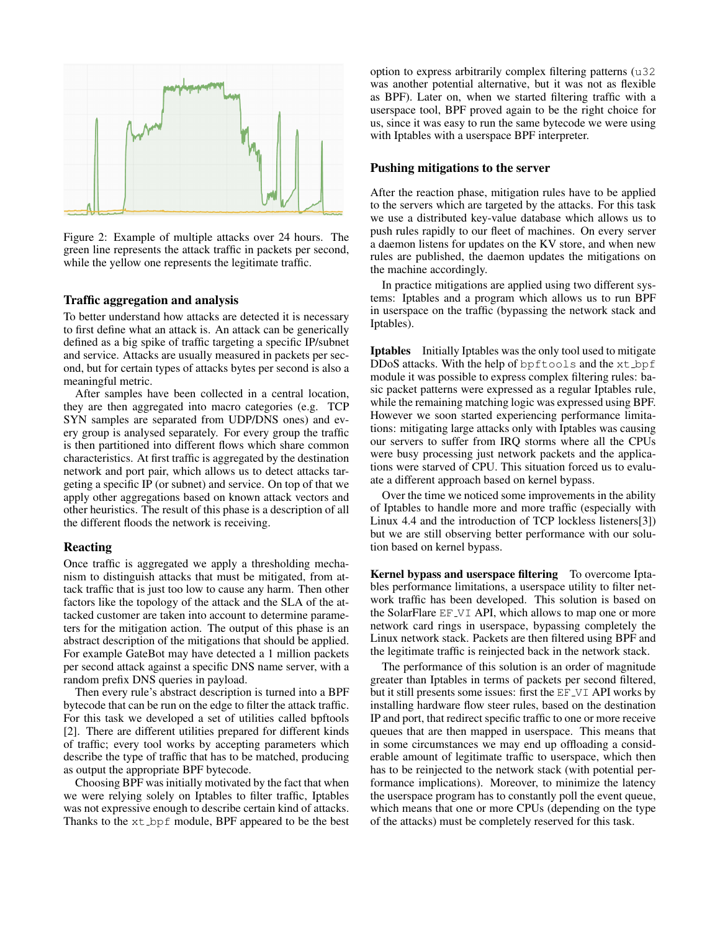

Figure 2: Example of multiple attacks over 24 hours. The green line represents the attack traffic in packets per second, while the yellow one represents the legitimate traffic.

#### Traffic aggregation and analysis

To better understand how attacks are detected it is necessary to first define what an attack is. An attack can be generically defined as a big spike of traffic targeting a specific IP/subnet and service. Attacks are usually measured in packets per second, but for certain types of attacks bytes per second is also a meaningful metric.

After samples have been collected in a central location, they are then aggregated into macro categories (e.g. TCP SYN samples are separated from UDP/DNS ones) and every group is analysed separately. For every group the traffic is then partitioned into different flows which share common characteristics. At first traffic is aggregated by the destination network and port pair, which allows us to detect attacks targeting a specific IP (or subnet) and service. On top of that we apply other aggregations based on known attack vectors and other heuristics. The result of this phase is a description of all the different floods the network is receiving.

#### Reacting

Once traffic is aggregated we apply a thresholding mechanism to distinguish attacks that must be mitigated, from attack traffic that is just too low to cause any harm. Then other factors like the topology of the attack and the SLA of the attacked customer are taken into account to determine parameters for the mitigation action. The output of this phase is an abstract description of the mitigations that should be applied. For example GateBot may have detected a 1 million packets per second attack against a specific DNS name server, with a random prefix DNS queries in payload.

Then every rule's abstract description is turned into a BPF bytecode that can be run on the edge to filter the attack traffic. For this task we developed a set of utilities called bpftools [2]. There are different utilities prepared for different kinds of traffic; every tool works by accepting parameters which describe the type of traffic that has to be matched, producing as output the appropriate BPF bytecode.

Choosing BPF was initially motivated by the fact that when we were relying solely on Iptables to filter traffic, Iptables was not expressive enough to describe certain kind of attacks. Thanks to the  $xt\_bpf$  module, BPF appeared to be the best option to express arbitrarily complex filtering patterns (u32 was another potential alternative, but it was not as flexible as BPF). Later on, when we started filtering traffic with a userspace tool, BPF proved again to be the right choice for us, since it was easy to run the same bytecode we were using with Iptables with a userspace BPF interpreter.

## Pushing mitigations to the server

After the reaction phase, mitigation rules have to be applied to the servers which are targeted by the attacks. For this task we use a distributed key-value database which allows us to push rules rapidly to our fleet of machines. On every server a daemon listens for updates on the KV store, and when new rules are published, the daemon updates the mitigations on the machine accordingly.

In practice mitigations are applied using two different systems: Iptables and a program which allows us to run BPF in userspace on the traffic (bypassing the network stack and Iptables).

**Iptables** Initially Iptables was the only tool used to mitigate DDoS attacks. With the help of bpftools and the xt bpf module it was possible to express complex filtering rules: basic packet patterns were expressed as a regular Iptables rule, while the remaining matching logic was expressed using BPF. However we soon started experiencing performance limitations: mitigating large attacks only with Iptables was causing our servers to suffer from IRQ storms where all the CPUs were busy processing just network packets and the applications were starved of CPU. This situation forced us to evaluate a different approach based on kernel bypass.

Over the time we noticed some improvements in the ability of Iptables to handle more and more traffic (especially with Linux 4.4 and the introduction of TCP lockless listeners[3]) but we are still observing better performance with our solution based on kernel bypass.

Kernel bypass and userspace filtering To overcome Iptables performance limitations, a userspace utility to filter network traffic has been developed. This solution is based on the SolarFlare EF VI API, which allows to map one or more network card rings in userspace, bypassing completely the Linux network stack. Packets are then filtered using BPF and the legitimate traffic is reinjected back in the network stack.

The performance of this solution is an order of magnitude greater than Iptables in terms of packets per second filtered, but it still presents some issues: first the EF\_VI API works by installing hardware flow steer rules, based on the destination IP and port, that redirect specific traffic to one or more receive queues that are then mapped in userspace. This means that in some circumstances we may end up offloading a considerable amount of legitimate traffic to userspace, which then has to be reinjected to the network stack (with potential performance implications). Moreover, to minimize the latency the userspace program has to constantly poll the event queue, which means that one or more CPUs (depending on the type of the attacks) must be completely reserved for this task.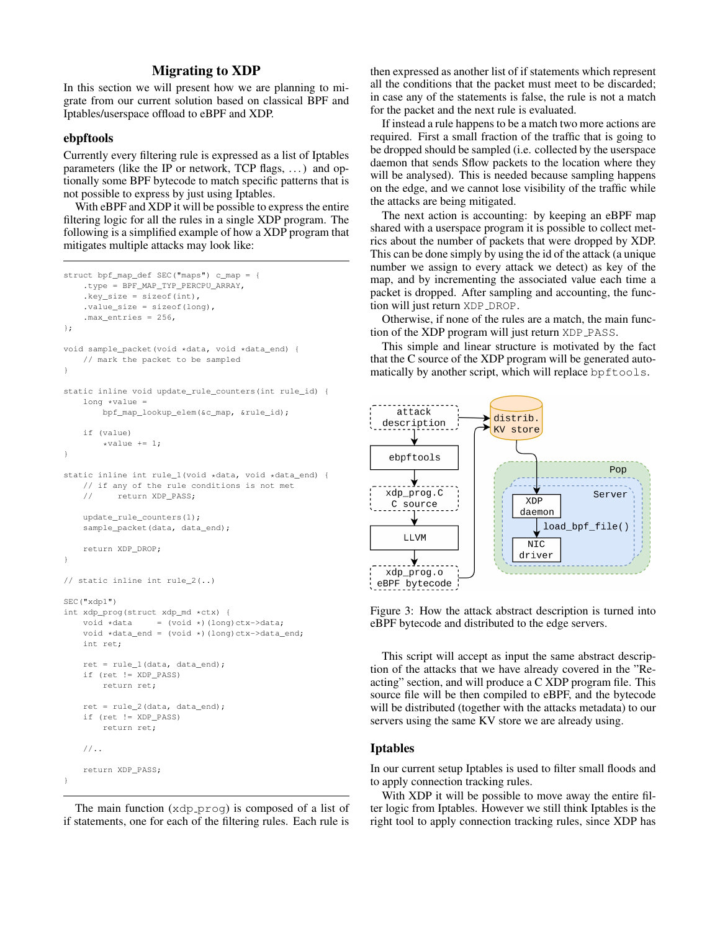# Migrating to XDP

In this section we will present how we are planning to migrate from our current solution based on classical BPF and Iptables/userspace offload to eBPF and XDP.

#### ebpftools

Currently every filtering rule is expressed as a list of Iptables parameters (like the IP or network, TCP flags, ...) and optionally some BPF bytecode to match specific patterns that is not possible to express by just using Iptables.

With eBPF and XDP it will be possible to express the entire filtering logic for all the rules in a single XDP program. The following is a simplified example of how a XDP program that mitigates multiple attacks may look like:

```
struct bpf_map_def SEC("maps") c_map = {
    .type = BPF_MAP_TYP_PERCPU_ARRAY,
    . key size = sizeof(int),
    .value_size = sizeof(long),
    .max_entries = 256,
};
void sample_packet(void *data, void *data_end) {
    // mark the packet to be sampled
}
static inline void update_rule_counters(int rule_id) {
   long *value =
       bpf_map_lookup_elem(&c_map, &rule_id);
    if (value)
        *value += 1;
}
static inline int rule_1(void *data, void *data_end) {
   // if any of the rule conditions is not met
   // return XDP_PASS;
   update_rule_counters(1);
    sample packet(data, data end);
    return XDP_DROP;
}
// static inline int rule 2(..)SEC("xdp1")
int xdp_prog(struct xdp_md *ctx) {
    void *data = (void *)(long)ctx->data;
    void *data_end = (void *)(long)ctx->data_end;
   int ret;
    ret = rule_1(data, data_en),if (ret != XDP_PASS)
       return ret;
    ret = rule_2(data, data_end);
    if (ret != XDP_PASS)
        return ret;
    //..
    return XDP_PASS;
}
```
The main function  $(xdp$ -prog) is composed of a list of if statements, one for each of the filtering rules. Each rule is then expressed as another list of if statements which represent all the conditions that the packet must meet to be discarded; in case any of the statements is false, the rule is not a match for the packet and the next rule is evaluated.

If instead a rule happens to be a match two more actions are required. First a small fraction of the traffic that is going to be dropped should be sampled (i.e. collected by the userspace daemon that sends Sflow packets to the location where they will be analysed). This is needed because sampling happens on the edge, and we cannot lose visibility of the traffic while the attacks are being mitigated.

The next action is accounting: by keeping an eBPF map shared with a userspace program it is possible to collect metrics about the number of packets that were dropped by XDP. This can be done simply by using the id of the attack (a unique number we assign to every attack we detect) as key of the map, and by incrementing the associated value each time a packet is dropped. After sampling and accounting, the function will just return XDP\_DROP.

Otherwise, if none of the rules are a match, the main function of the XDP program will just return XDP\_PASS.

This simple and linear structure is motivated by the fact that the C source of the XDP program will be generated automatically by another script, which will replace bpftools.



Figure 3: How the attack abstract description is turned into eBPF bytecode and distributed to the edge servers.

This script will accept as input the same abstract description of the attacks that we have already covered in the "Reacting" section, and will produce a C XDP program file. This source file will be then compiled to eBPF, and the bytecode will be distributed (together with the attacks metadata) to our servers using the same KV store we are already using.

### Iptables

In our current setup Iptables is used to filter small floods and to apply connection tracking rules.

With XDP it will be possible to move away the entire filter logic from Iptables. However we still think Iptables is the right tool to apply connection tracking rules, since XDP has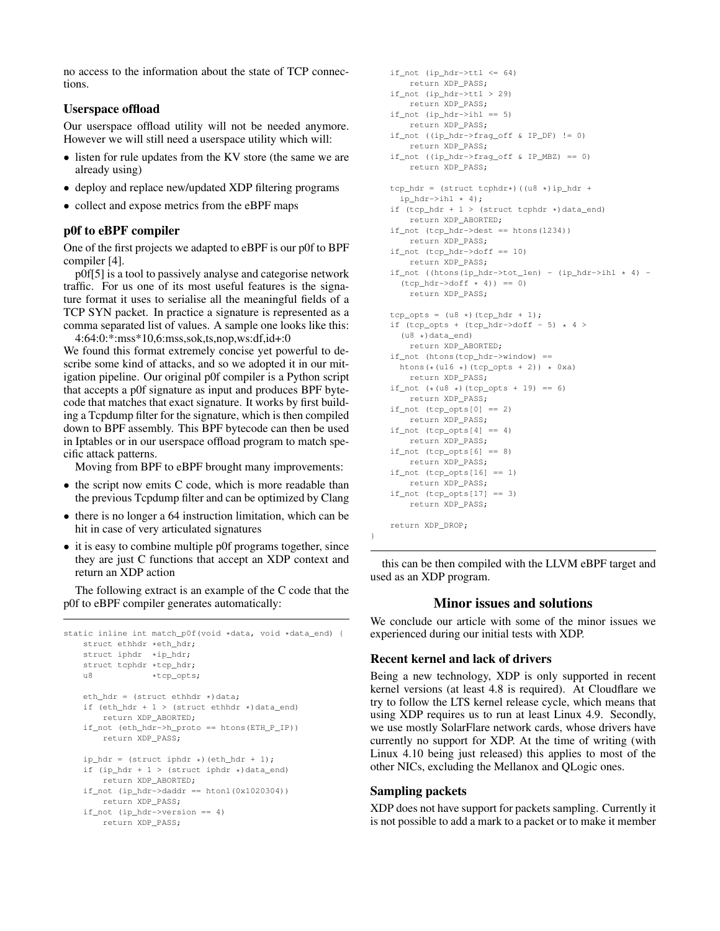no access to the information about the state of TCP connections.

# Userspace offload

Our userspace offload utility will not be needed anymore. However we will still need a userspace utility which will:

- listen for rule updates from the KV store (the same we are already using)
- deploy and replace new/updated XDP filtering programs
- collect and expose metrics from the eBPF maps

## p0f to eBPF compiler

One of the first projects we adapted to eBPF is our p0f to BPF compiler [4].

p0f[5] is a tool to passively analyse and categorise network traffic. For us one of its most useful features is the signature format it uses to serialise all the meaningful fields of a TCP SYN packet. In practice a signature is represented as a comma separated list of values. A sample one looks like this: 4:64:0:\*:mss\*10,6:mss,sok,ts,nop,ws:df,id+:0

We found this format extremely concise yet powerful to describe some kind of attacks, and so we adopted it in our mitigation pipeline. Our original p0f compiler is a Python script that accepts a p0f signature as input and produces BPF bytecode that matches that exact signature. It works by first building a Tcpdump filter for the signature, which is then compiled down to BPF assembly. This BPF bytecode can then be used in Iptables or in our userspace offload program to match specific attack patterns.

Moving from BPF to eBPF brought many improvements:

- the script now emits C code, which is more readable than the previous Tcpdump filter and can be optimized by Clang
- there is no longer a 64 instruction limitation, which can be hit in case of very articulated signatures
- it is easy to combine multiple p0f programs together, since they are just C functions that accept an XDP context and return an XDP action

The following extract is an example of the C code that the p0f to eBPF compiler generates automatically:

```
static inline int match_p0f(void *data, void *data_end) {
   struct ethhdr *eth hdr;
    struct iphdr *ip_hdr;
   struct tcphdr *tcp_hdr;
   u8 *tcp_opts;
    eth_hdr = (struct ethhdr \nightharpoonup) data;if (eth_hdr + 1 > (struct ethhdr \star)data_end)
       return XDP_ABORTED;
    if_not (eth_hdr->h_proto == htons(ETH_P_IP))
        return XDP_PASS;
    ip_hdr = (struct <i>iphdr</i> *) (eth_hdr + 1);if (ip\_hdr + 1 > (struct <i>iphdr</i> *) data\_end)return XDP_ABORTED;
    if\_not (ip\_hdr \rightarrow daddr == htonl(0x1020304))return XDP_PASS;
    if_not (ip_hdr->version == 4)
       return XDP_PASS;
```

```
if\_not (ip\_hdr->ttl <= 64)
   return XDP_PASS;
if_not (ip_hdr->ttl > 29)
   return XDP_PASS;
if_not (ip_hdr->ihl == 5)
    return XDP_PASS;
if_not ((ip_hdr->frag_off & IP_DF) != 0)
   return XDP_PASS;
if_not ((ip_hdr->frag_off & IP_MBZ) == 0)
    return XDP_PASS;
tcp_hdr = (struct tcphdr*)((u8 *)ip_hdr +
  ip hdr->ihl * 4):
if (tcp\_hdr + 1 > (struct tcphdr *)data\_end)return XDP_ABORTED;
if not (tcp hdr->dest == htons(1234))
    return XDP_PASS;
if_not (tcp_hdr->doff == 10)
   return XDP_PASS;
if\_not ((htons(ip\_hdr->tot_len) - (ip\_hdr->ihl * 4) -
  (tcp\_hdr \rightarrow doff * 4) == 0)
   return XDP_PASS;
top\_opts = (u8 \star)(top\_hdr + 1);if (tcp_opts + (tcp_hdr->doff - 5) * 4 >
  ( u8 \star) data end)
   return XDP_ABORTED;
if_not (htons(tcp_hdr->window) ==
  htons(*(u16 \star)(tcp_opts + 2)) *(0xa)return XDP_PASS;
if_not (* (u8 *)(tcp\_opts + 19) == 6)return XDP_PASS;
if\_not (tcp\_opts[0] == 2)return XDP_PASS;
if\_not (top\_opts[4] == 4)return XDP_PASS;
if_not (tcp_opts[6] == 8)
   return XDP_PASS;
if\_not (tcp\_opts[16] == 1)return XDP_PASS;
if\_not (tcp\_opts[17] == 3)return XDP_PASS;
return XDP_DROP;
```
this can be then compiled with the LLVM eBPF target and used as an XDP program.

# Minor issues and solutions

We conclude our article with some of the minor issues we experienced during our initial tests with XDP.

## Recent kernel and lack of drivers

Being a new technology, XDP is only supported in recent kernel versions (at least 4.8 is required). At Cloudflare we try to follow the LTS kernel release cycle, which means that using XDP requires us to run at least Linux 4.9. Secondly, we use mostly SolarFlare network cards, whose drivers have currently no support for XDP. At the time of writing (with Linux 4.10 being just released) this applies to most of the other NICs, excluding the Mellanox and QLogic ones.

### Sampling packets

}

XDP does not have support for packets sampling. Currently it is not possible to add a mark to a packet or to make it member